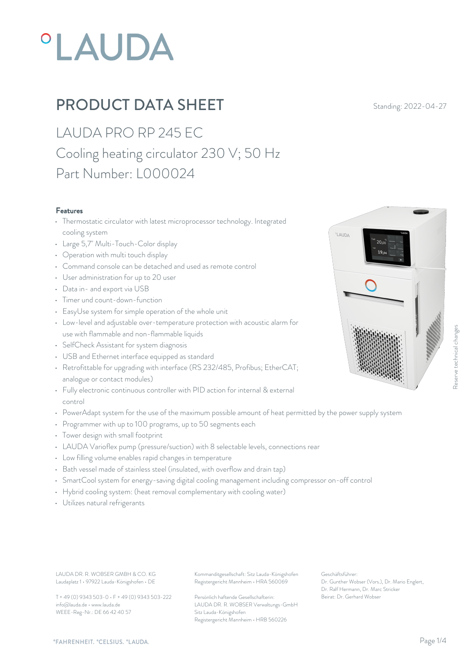# **°LAUDA**

# **PRODUCT DATA SHEET** Standing: 2022-04-27

LAUDA PRO RP 245 EC Cooling heating circulator 230 V; 50 Hz Part Number: L000024

#### Features

- Thermostatic circulator with latest microprocessor technology. Integrated cooling system
- Large 5,7" Multi-Touch-Color display
- Operation with multi touch display
- Command console can be detached and used as remote control
- User administration for up to 20 user
- Data in- and export via USB
- Timer und count-down-function
- EasyUse system for simple operation of the whole unit
- Low-level and adjustable over-temperature protection with acoustic alarm for use with flammable and non-flammable liquids
- SelfCheck Assistant for system diagnosis
- USB and Ethernet interface equipped as standard
- Retrofittable for upgrading with interface (RS 232/485, Profibus; EtherCAT; analogue or contact modules)
- Fully electronic continuous controller with PID action for internal & external control
- PowerAdapt system for the use of the maximum possible amount of heat permitted by the power supply system
- Programmer with up to 100 programs, up to 50 segments each
- Tower design with small footprint
- LAUDA Varioflex pump (pressure/suction) with 8 selectable levels, connections rear
- Low filling volume enables rapid changes in temperature
- Bath vessel made of stainless steel (insulated, with overflow and drain tap)
- SmartCool system for energy-saving digital cooling management including compressor on-off control
- Hybrid cooling system: (heat removal complementary with cooling water)
- Utilizes natural refrigerants

Laudaplatz 1 • 97922 Lauda-Königshofen • DE

T + 49 (0) 9343 503-0 • F + 49 (0) 9343 503-222 info@lauda.de • www.lauda.de WEEE-Reg-Nr.: DE 66 42 40 57

LAUDA DR. R. WOBSER GMBH & CO. KG Kommanditgesellschaft: Sitz Lauda-Königshofen Geschäftsführer: Registergericht Mannheim • HRA 560069

> Persönlich haftende Gesellschafterin: Beirat: Dr. Gerhard Wobse LAUDA DR. R. WOBSER Verwaltungs-GmbH Sitz Lauda-Königshofen Registergericht Mannheim • HRB 560226

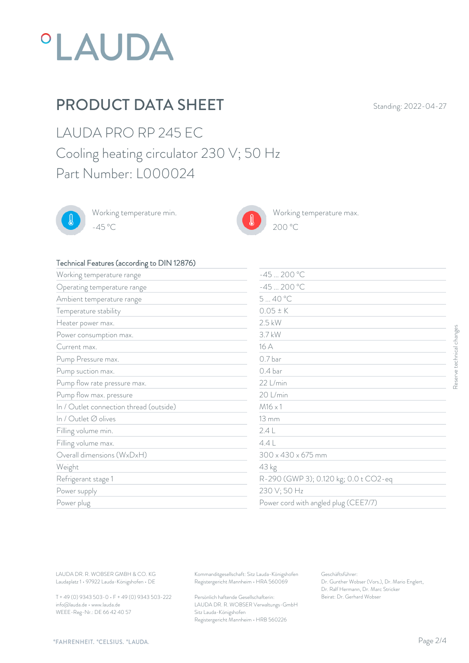

# PRODUCT DATA SHEET Standing: 2022-04-27

LAUDA PRO RP 245 EC Cooling heating circulator 230 V; 50 Hz Part Number: L000024



Working temperature min. -45 °C 200 °C



Working temperature max.  $200\text{ °C}$ 

#### Technical Features (according to DIN 12876)

| Working temperature range                                                                                                           | $-45200 °C$                                                                                                                     |                                                                                                                                         |
|-------------------------------------------------------------------------------------------------------------------------------------|---------------------------------------------------------------------------------------------------------------------------------|-----------------------------------------------------------------------------------------------------------------------------------------|
| Operating temperature range                                                                                                         | $-45200 °C$                                                                                                                     |                                                                                                                                         |
| Ambient temperature range                                                                                                           | 540 °C                                                                                                                          |                                                                                                                                         |
| Temperature stability                                                                                                               | $0.05 \pm K$                                                                                                                    |                                                                                                                                         |
| Heater power max.                                                                                                                   | $2.5$ kW                                                                                                                        |                                                                                                                                         |
| Power consumption max.                                                                                                              | 3.7 kW                                                                                                                          |                                                                                                                                         |
| Current max.                                                                                                                        | 16 A                                                                                                                            |                                                                                                                                         |
| Pump Pressure max.                                                                                                                  | 0.7 <sub>bar</sub>                                                                                                              |                                                                                                                                         |
| Pump suction max.                                                                                                                   | 0.4 bar                                                                                                                         |                                                                                                                                         |
| Pump flow rate pressure max.                                                                                                        | 22 L/min                                                                                                                        |                                                                                                                                         |
| Pump flow max. pressure                                                                                                             | 20 L/min                                                                                                                        |                                                                                                                                         |
| In / Outlet connection thread (outside)                                                                                             | $M16 \times 1$                                                                                                                  |                                                                                                                                         |
| In / Outlet Ø olives                                                                                                                | $13 \, \mathrm{mm}$                                                                                                             |                                                                                                                                         |
| Filling volume min.                                                                                                                 | 2.4L                                                                                                                            |                                                                                                                                         |
| Filling volume max.                                                                                                                 | 4.4L                                                                                                                            |                                                                                                                                         |
| Overall dimensions (WxDxH)                                                                                                          | $300 \times 430 \times 675$ mm                                                                                                  |                                                                                                                                         |
| Weight                                                                                                                              | 43 kg                                                                                                                           |                                                                                                                                         |
| Refrigerant stage 1                                                                                                                 |                                                                                                                                 | R-290 (GWP 3); 0.120 kg; 0.0 t CO2-eq                                                                                                   |
| Power supply                                                                                                                        | 230 V; 50 Hz                                                                                                                    |                                                                                                                                         |
| Power plug                                                                                                                          |                                                                                                                                 | Power cord with angled plug (CEE7/7)                                                                                                    |
|                                                                                                                                     |                                                                                                                                 |                                                                                                                                         |
| LAUDA DR. R. WOBSER GMBH & CO. KG<br>Laudaplatz 1 · 97922 Lauda-Königshofen · DE<br>T + 49 (0) 9343 503-0 · F + 49 (0) 9343 503-222 | Kommanditgesellschaft: Sitz Lauda-Königshofen<br>Registergericht Mannheim · HRA 560069<br>Persönlich haftende Gesellschafterin: | Geschäftsführer:<br>Dr. Gunther Wobser (Vors.), Dr. Mario Englert,<br>Dr. Ralf Hermann, Dr. Marc Stricker<br>Beirat: Dr. Gerhard Wobser |

T + 49 (0) 9343 503-0 • F + 49 (0) 9343 503-222 info@lauda.de • www.lauda.de WEEE-Reg-Nr.: DE 66 42 40 57

> Persönlich haftende Gesellschafterin: Beirat: Dr. Gerhard Wobse LAUDA DR. R. WOBSER Verwaltungs-GmbH Sitz Lauda-Königshofen Registergericht Mannheim • HRB 560226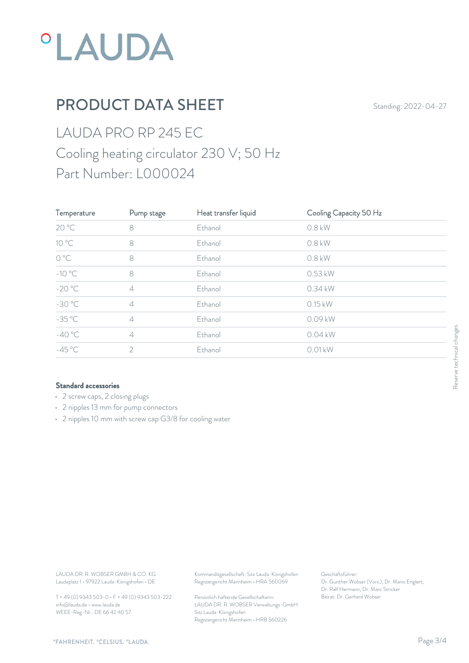

# PRODUCT DATA SHEET Standing: 2022-04-27

# LAUDA PRO RP 245 EC Cooling heating circulator 230 V; 50 Hz Part Number: L000024

| Temperature                                                                      | Pump stage                                      | Heat transfer liquid                                                                   | Cooling Capacity 50 Hz                                                                                    |                           |
|----------------------------------------------------------------------------------|-------------------------------------------------|----------------------------------------------------------------------------------------|-----------------------------------------------------------------------------------------------------------|---------------------------|
| 20 °C                                                                            | $\,8\,$                                         | Ethanol                                                                                | $0.8$ kW                                                                                                  |                           |
| $10^{\circ}$ C                                                                   | $\,8\,$                                         | Ethanol                                                                                | 0.8 kW                                                                                                    |                           |
| $O^{\circ}C$                                                                     | $\,8\,$                                         | Ethanol                                                                                | 0.8 kW                                                                                                    |                           |
| $-10\text{ °C}$                                                                  | $\,8\,$                                         | Ethanol                                                                                | 0.53 kW                                                                                                   |                           |
| $-20 °C$                                                                         | $\varDelta$                                     | Ethanol                                                                                | 0.34 kW                                                                                                   |                           |
| $-30 °C$                                                                         | $\varDelta$                                     | Ethanol                                                                                | 0.15 kW                                                                                                   |                           |
| $-35^{\circ}$ C                                                                  | $\varDelta$                                     | Ethanol                                                                                | 0.09 kW                                                                                                   |                           |
| $-40 °C$                                                                         | $\ensuremath{\mathcal{A}}$                      | Ethanol                                                                                | 0.04 kW                                                                                                   | Reserve technical changes |
| $-45^{\circ}$ C                                                                  | $\overline{2}$                                  | Ethanol                                                                                | $0.01$ kW                                                                                                 |                           |
|                                                                                  |                                                 |                                                                                        |                                                                                                           |                           |
| LAUDA DR. R. WOBSER GMBH & CO. KG<br>Laudaplatz 1 · 97922 Lauda-Königshofen · DE |                                                 | Kommanditgesellschaft: Sitz Lauda-Königshofen<br>Registergericht Mannheim · HRA 560069 | Geschäftsführer:<br>Dr. Gunther Wobser (Vors.), Dr. Mario Englert,<br>Dr. Ralf Hermann, Dr. Marc Stricker |                           |
|                                                                                  | T + 49 (0) 9343 503-0 · F + 49 (0) 9343 503-222 | Persönlich haftende Gesellschafterin:                                                  | Beirat: Dr. Gerhard Wobser                                                                                |                           |

#### Standard accessories

- 2 screw caps, 2 closing plugs
- 2 nipples 13 mm for pump connectors
- 2 nipples 10 mm with screw cap G3/8 for cooling water

T + 49 (0) 9343 503-0 • F + 49 (0) 9343 503-222 info@lauda.de • www.lauda.de WEEE-Reg-Nr.: DE 66 42 40 57

> Persönlich haftende Gesellschafterin: Beirat: Dr. Gerhard Wobse LAUDA DR. R. WOBSER Verwaltungs-GmbH Sitz Lauda-Königshofen Registergericht Mannheim • HRB 560226